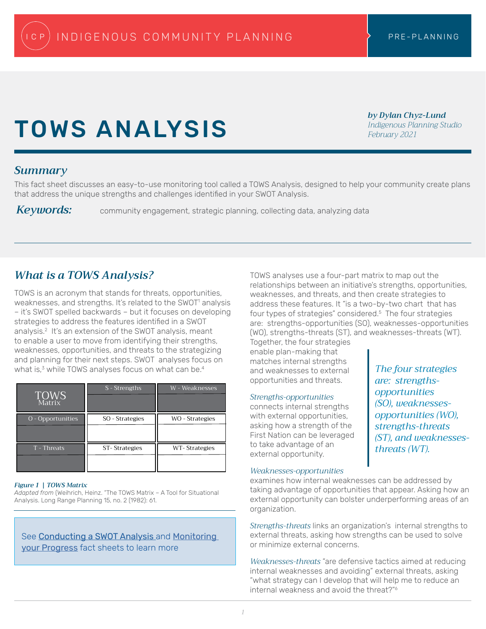# TOWS ANALYSIS

*by Dylan Chyz-Lund Indigenous Planning Studio February 2021*

## *Summary*

This fact sheet discusses an easy-to-use monitoring tool called a TOWS Analysis, designed to help your community create plans that address the unique strengths and challenges identified in your SWOT Analysis.

*Keywords:* community engagement, strategic planning, collecting data, analyzing data

# *What is a TOWS Analysis?*

TOWS is an acronym that stands for threats, opportunities, weaknesses, and strengths. It's related to the SWOT<sup>1</sup> analysis – it's SWOT spelled backwards – but it focuses on developing strategies to address the features identified in a SWOT analysis.2 It's an extension of the SWOT analysis, meant to enable a user to move from identifying their strengths, weaknesses, opportunities, and threats to the strategizing and planning for their next steps. SWOT analyses focus on what is, $3$  while TOWS analyses focus on what can be. $4$ 

| <b>TOWS</b><br>Matrix | S - Strengths   | W - Weaknesses  |
|-----------------------|-----------------|-----------------|
| O - Opportunities     | SO - Strategies | WO - Strategies |
| T - Threats           | ST-Strategies   | WT-Strategies   |

## *Figure 1 | TOWS Matrix*

*Adapted from* (Weihrich, Heinz. "The TOWS Matrix – A Tool for Situational Analysis. Long Range Planning 15, no. 2 (1982): 61.

See **Conducting a SWOT Analysis** and **Monitoring** your Progress fact sheets to learn more

TOWS analyses use a four-part matrix to map out the relationships between an initiative's strengths, opportunities, weaknesses, and threats, and then create strategies to address these features. It "is a two-by-two chart that has four types of strategies" considered.<sup>5</sup> The four strategies are: strengths-opportunities (SO), weaknesses-opportunities (WO), strengths-threats (ST), and weaknesses-threats (WT).

Together, the four strategies enable plan-making that matches internal strengths and weaknesses to external opportunities and threats.

## *Strengths-opportunities*

connects internal strengths with external opportunities, asking how a strength of the First Nation can be leveraged to take advantage of an external opportunity.

*The four strategies are: strengthsopportunities (SO), weaknessesopportunities (WO), strengths-threats (ST), and weaknessesthreats (WT).*

## *Weaknesses-opportunities*

examines how internal weaknesses can be addressed by taking advantage of opportunities that appear. Asking how an external opportunity can bolster underperforming areas of an organization.

*Strengths-threats* links an organization's internal strengths to external threats, asking how strengths can be used to solve or minimize external concerns.

*Weaknesses-threats* "are defensive tactics aimed at reducing internal weaknesses and avoiding" external threats, asking "what strategy can I develop that will help me to reduce an internal weakness and avoid the threat?"6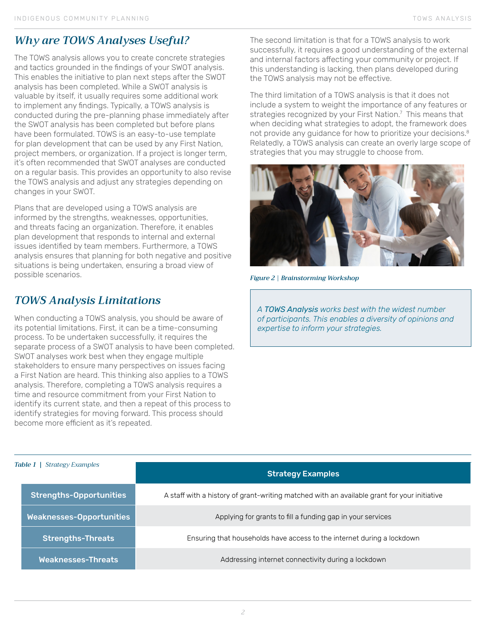# *Why are TOWS Analyses Useful?*

The TOWS analysis allows you to create concrete strategies and tactics grounded in the findings of your SWOT analysis. This enables the initiative to plan next steps after the SWOT analysis has been completed. While a SWOT analysis is valuable by itself, it usually requires some additional work to implement any findings. Typically, a TOWS analysis is conducted during the pre-planning phase immediately after the SWOT analysis has been completed but before plans have been formulated. TOWS is an easy-to-use template for plan development that can be used by any First Nation, project members, or organization. If a project is longer term, it's often recommended that SWOT analyses are conducted on a regular basis. This provides an opportunity to also revise the TOWS analysis and adjust any strategies depending on changes in your SWOT.

Plans that are developed using a TOWS analysis are informed by the strengths, weaknesses, opportunities, and threats facing an organization. Therefore, it enables plan development that responds to internal and external issues identified by team members. Furthermore, a TOWS analysis ensures that planning for both negative and positive situations is being undertaken, ensuring a broad view of possible scenarios.

# *TOWS Analysis Limitations*

When conducting a TOWS analysis, you should be aware of its potential limitations. First, it can be a time-consuming process. To be undertaken successfully, it requires the separate process of a SWOT analysis to have been completed. SWOT analyses work best when they engage multiple stakeholders to ensure many perspectives on issues facing a First Nation are heard. This thinking also applies to a TOWS analysis. Therefore, completing a TOWS analysis requires a time and resource commitment from your First Nation to identify its current state, and then a repeat of this process to identify strategies for moving forward. This process should become more efficient as it's repeated.

The second limitation is that for a TOWS analysis to work successfully, it requires a good understanding of the external and internal factors affecting your community or project. If this understanding is lacking, then plans developed during the TOWS analysis may not be effective.

The third limitation of a TOWS analysis is that it does not include a system to weight the importance of any features or strategies recognized by your First Nation. $\frac{7}{7}$  This means that when deciding what strategies to adopt, the framework does not provide any quidance for how to prioritize your decisions.<sup>8</sup> Relatedly, a TOWS analysis can create an overly large scope of strategies that you may struggle to choose from.



*Figure 2* | *Brainstorming Workshop* 

*A TOWS Analysis works best with the widest number of participants. This enables a diversity of opinions and expertise to inform your strategies.* 

| Table $1 \mid$<br><b>Strategy Examples</b> |                                 |                                                                                             |
|--------------------------------------------|---------------------------------|---------------------------------------------------------------------------------------------|
|                                            |                                 | <b>Strategy Examples</b>                                                                    |
|                                            | <b>Strengths-Opportunities</b>  | A staff with a history of grant-writing matched with an available grant for your initiative |
|                                            | <b>Weaknesses-Opportunities</b> | Applying for grants to fill a funding gap in your services                                  |
|                                            | <b>Strengths-Threats</b>        | Ensuring that households have access to the internet during a lockdown                      |
|                                            | Weaknesses-Threats              | Addressing internet connectivity during a lockdown                                          |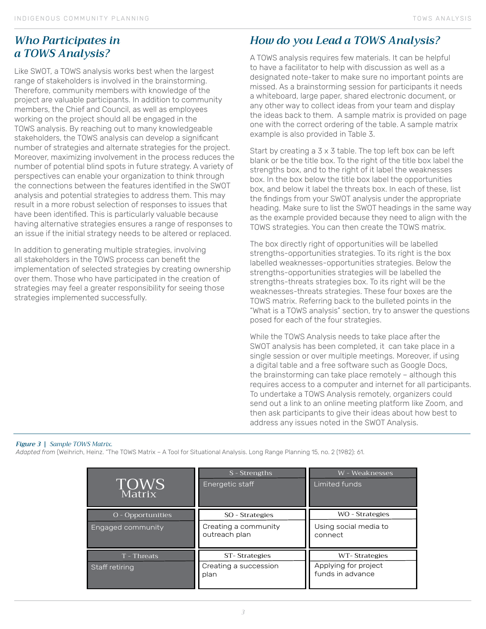## *Who Participates in a TOWS Analysis?*

Like SWOT, a TOWS analysis works best when the largest range of stakeholders is involved in the brainstorming. Therefore, community members with knowledge of the project are valuable participants. In addition to community members, the Chief and Council, as well as employees working on the project should all be engaged in the TOWS analysis. By reaching out to many knowledgeable stakeholders, the TOWS analysis can develop a significant number of strategies and alternate strategies for the project. Moreover, maximizing involvement in the process reduces the number of potential blind spots in future strategy. A variety of perspectives can enable your organization to think through the connections between the features identified in the SWOT analysis and potential strategies to address them. This may result in a more robust selection of responses to issues that have been identified. This is particularly valuable because having alternative strategies ensures a range of responses to an issue if the initial strategy needs to be altered or replaced.

In addition to generating multiple strategies, involving all stakeholders in the TOWS process can benefit the implementation of selected strategies by creating ownership over them. Those who have participated in the creation of strategies may feel a greater responsibility for seeing those strategies implemented successfully.

# *How do you Lead a TOWS Analysis?*

A TOWS analysis requires few materials. It can be helpful to have a facilitator to help with discussion as well as a designated note-taker to make sure no important points are missed. As a brainstorming session for participants it needs a whiteboard, large paper, shared electronic document, or any other way to collect ideas from your team and display the ideas back to them. A sample matrix is provided on page one with the correct ordering of the table. A sample matrix example is also provided in Table 3.

Start by creating a 3 x 3 table. The top left box can be left blank or be the title box. To the right of the title box label the strengths box, and to the right of it label the weaknesses box. In the box below the title box label the opportunities box, and below it label the threats box. In each of these, list the findings from your SWOT analysis under the appropriate heading. Make sure to list the SWOT headings in the same way as the example provided because they need to align with the TOWS strategies. You can then create the TOWS matrix.

The box directly right of opportunities will be labelled strengths-opportunities strategies. To its right is the box labelled weaknesses-opportunities strategies. Below the strengths-opportunities strategies will be labelled the strengths-threats strategies box. To its right will be the weaknesses-threats strategies. These four boxes are the TOWS matrix. Referring back to the bulleted points in the "What is a TOWS analysis" section, try to answer the questions posed for each of the four strategies.

While the TOWS Analysis needs to take place after the SWOT analysis has been completed, it can take place in a single session or over multiple meetings. Moreover, if using a digital table and a free software such as Google Docs, the brainstorming can take place remotely – although this requires access to a computer and internet for all participants. To undertake a TOWS Analysis remotely, organizers could send out a link to an online meeting platform like Zoom, and then ask participants to give their ideas about how best to address any issues noted in the SWOT Analysis.

## *Figure 3 | Sample TOWS Matrix.*

*Adapted from* (Weihrich, Heinz. "The TOWS Matrix – A Tool for Situational Analysis. Long Range Planning 15, no. 2 (1982): 61.

| <b>TOWS</b><br>Matrix                  | S - Strengths<br>Energetic staff                         | W - Weaknesses<br>Limited funds                           |
|----------------------------------------|----------------------------------------------------------|-----------------------------------------------------------|
| O - Opportunities<br>Engaged community | SO - Strategies<br>Creating a community<br>outreach plan | WO - Strategies<br>Using social media to<br>connect       |
| T - Threats<br>Staff retiring          | ST-Strategies<br>Creating a succession<br>plan           | WT-Strategies<br>Applying for project<br>funds in advance |